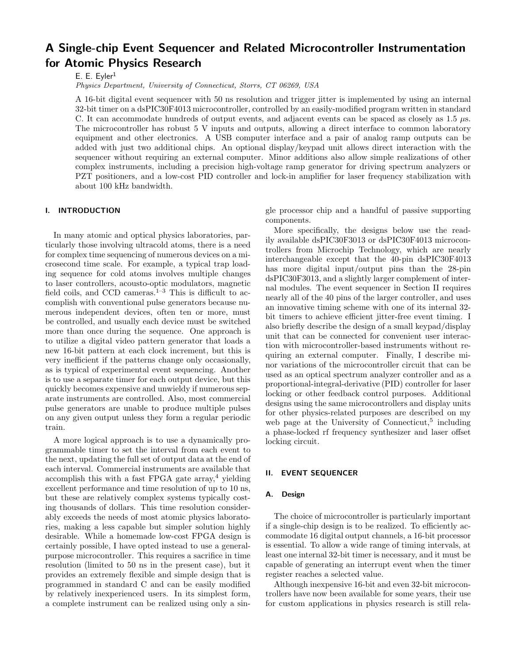# **A Single-chip Event Sequencer and Related Microcontroller Instrumentation for Atomic Physics Research**

E. E. Eyler<sup>1</sup>

*Physics Department, University of Connecticut, Storrs, CT 06269, USA*

A 16-bit digital event sequencer with 50 ns resolution and trigger jitter is implemented by using an internal 32-bit timer on a dsPIC30F4013 microcontroller, controlled by an easily-modified program written in standard C. It can accommodate hundreds of output events, and adjacent events can be spaced as closely as 1.5 *µ*s. The microcontroller has robust 5 V inputs and outputs, allowing a direct interface to common laboratory equipment and other electronics. A USB computer interface and a pair of analog ramp outputs can be added with just two additional chips. An optional display/keypad unit allows direct interaction with the sequencer without requiring an external computer. Minor additions also allow simple realizations of other complex instruments, including a precision high-voltage ramp generator for driving spectrum analyzers or PZT positioners, and a low-cost PID controller and lock-in amplifier for laser frequency stabilization with about 100 kHz bandwidth.

# **I. INTRODUCTION**

In many atomic and optical physics laboratories, particularly those involving ultracold atoms, there is a need for complex time sequencing of numerous devices on a microsecond time scale. For example, a typical trap loading sequence for cold atoms involves multiple changes to laser controllers, acousto-optic modulators, magnetic field coils, and CCD cameras. $1-3$  This is difficult to accomplish with conventional pulse generators because numerous independent devices, often ten or more, must be controlled, and usually each device must be switched more than once during the sequence. One approach is to utilize a digital video pattern generator that loads a new 16-bit pattern at each clock increment, but this is very inefficient if the patterns change only occasionally, as is typical of experimental event sequencing. Another is to use a separate timer for each output device, but this quickly becomes expensive and unwieldy if numerous separate instruments are controlled. Also, most commercial pulse generators are unable to produce multiple pulses on any given output unless they form a regular periodic train.

A more logical approach is to use a dynamically programmable timer to set the interval from each event to the next, updating the full set of output data at the end of each interval. Commercial instruments are available that accomplish this with a fast FPGA gate  $\arctan^4$  yielding excellent performance and time resolution of up to 10 ns, but these are relatively complex systems typically costing thousands of dollars. This time resolution considerably exceeds the needs of most atomic physics laboratories, making a less capable but simpler solution highly desirable. While a homemade low-cost FPGA design is certainly possible, I have opted instead to use a generalpurpose microcontroller. This requires a sacrifice in time resolution (limited to 50 ns in the present case), but it provides an extremely flexible and simple design that is programmed in standard C and can be easily modified by relatively inexperienced users. In its simplest form, a complete instrument can be realized using only a single processor chip and a handful of passive supporting components.

More specifically, the designs below use the readily available dsPIC30F3013 or dsPIC30F4013 microcontrollers from Microchip Technology, which are nearly interchangeable except that the 40-pin dsPIC30F4013 has more digital input/output pins than the 28-pin dsPIC30F3013, and a slightly larger complement of internal modules. The event sequencer in Section II requires nearly all of the 40 pins of the larger controller, and uses an innovative timing scheme with one of its internal 32 bit timers to achieve efficient jitter-free event timing. I also briefly describe the design of a small keypad/display unit that can be connected for convenient user interaction with microcontroller-based instruments without requiring an external computer. Finally, I describe minor variations of the microcontroller circuit that can be used as an optical spectrum analyzer controller and as a proportional-integral-derivative (PID) controller for laser locking or other feedback control purposes. Additional designs using the same microcontrollers and display units for other physics-related purposes are described on my web page at the University of Connecticut, $5$  including a phase-locked rf frequency synthesizer and laser offset locking circuit.

#### **II. EVENT SEQUENCER**

## **A. Design**

The choice of microcontroller is particularly important if a single-chip design is to be realized. To efficiently accommodate 16 digital output channels, a 16-bit processor is essential. To allow a wide range of timing intervals, at least one internal 32-bit timer is necessary, and it must be capable of generating an interrupt event when the timer register reaches a selected value.

Although inexpensive 16-bit and even 32-bit microcontrollers have now been available for some years, their use for custom applications in physics research is still rela-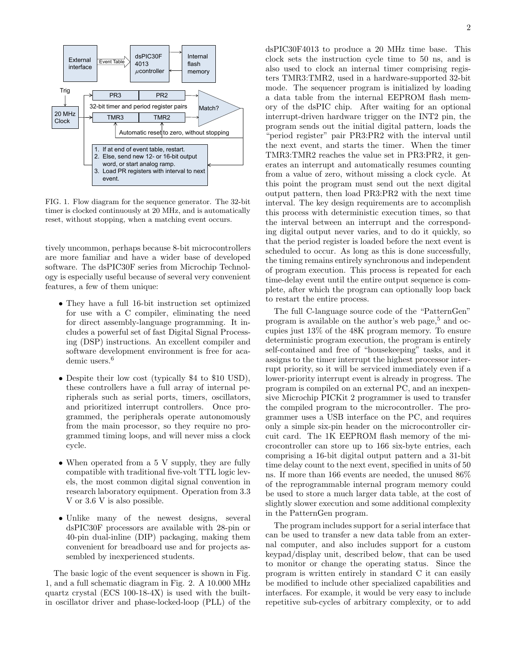

FIG. 1. Flow diagram for the sequence generator. The 32-bit timer is clocked continuously at 20 MHz, and is automatically reset, without stopping, when a matching event occurs.

tively uncommon, perhaps because 8-bit microcontrollers are more familiar and have a wider base of developed software. The dsPIC30F series from Microchip Technology is especially useful because of several very convenient features, a few of them unique:

- They have a full 16-bit instruction set optimized for use with a C compiler, eliminating the need for direct assembly-language programming. It includes a powerful set of fast Digital Signal Processing (DSP) instructions. An excellent compiler and software development environment is free for academic users.<sup>6</sup>
- Despite their low cost (typically \$4 to \$10 USD), these controllers have a full array of internal peripherals such as serial ports, timers, oscillators, and prioritized interrupt controllers. Once programmed, the peripherals operate autonomously from the main processor, so they require no programmed timing loops, and will never miss a clock cycle.
- When operated from a 5 V supply, they are fully compatible with traditional five-volt TTL logic levels, the most common digital signal convention in research laboratory equipment. Operation from 3.3 V or 3.6 V is also possible.
- Unlike many of the newest designs, several dsPIC30F processors are available with 28-pin or 40-pin dual-inline (DIP) packaging, making them convenient for breadboard use and for projects assembled by inexperienced students.

The basic logic of the event sequencer is shown in Fig. 1, and a full schematic diagram in Fig. 2. A 10.000 MHz quartz crystal (ECS 100-18-4X) is used with the builtin oscillator driver and phase-locked-loop (PLL) of the dsPIC30F4013 to produce a 20 MHz time base. This clock sets the instruction cycle time to 50 ns, and is also used to clock an internal timer comprising registers TMR3:TMR2, used in a hardware-supported 32-bit mode. The sequencer program is initialized by loading a data table from the internal EEPROM flash memory of the dsPIC chip. After waiting for an optional interrupt-driven hardware trigger on the INT2 pin, the program sends out the initial digital pattern, loads the "period register" pair PR3:PR2 with the interval until the next event, and starts the timer. When the timer TMR3:TMR2 reaches the value set in PR3:PR2, it generates an interrupt and automatically resumes counting from a value of zero, without missing a clock cycle. At this point the program must send out the next digital output pattern, then load PR3:PR2 with the next time interval. The key design requirements are to accomplish this process with deterministic execution times, so that the interval between an interrupt and the corresponding digital output never varies, and to do it quickly, so that the period register is loaded before the next event is scheduled to occur. As long as this is done successfully, the timing remains entirely synchronous and independent of program execution. This process is repeated for each time-delay event until the entire output sequence is complete, after which the program can optionally loop back to restart the entire process.

The full C-language source code of the "PatternGen" program is available on the author's web page,<sup>5</sup> and occupies just 13% of the 48K program memory. To ensure deterministic program execution, the program is entirely self-contained and free of "housekeeping" tasks, and it assigns to the timer interrupt the highest processor interrupt priority, so it will be serviced immediately even if a lower-priority interrupt event is already in progress. The program is compiled on an external PC, and an inexpensive Microchip PICKit 2 programmer is used to transfer the compiled program to the microcontroller. The programmer uses a USB interface on the PC, and requires only a simple six-pin header on the microcontroller circuit card. The 1K EEPROM flash memory of the microcontroller can store up to 166 six-byte entries, each comprising a 16-bit digital output pattern and a 31-bit time delay count to the next event, specified in units of 50 ns. If more than 166 events are needed, the unused 86% of the reprogrammable internal program memory could be used to store a much larger data table, at the cost of slightly slower execution and some additional complexity in the PatternGen program.

The program includes support for a serial interface that can be used to transfer a new data table from an external computer, and also includes support for a custom keypad/display unit, described below, that can be used to monitor or change the operating status. Since the program is written entirely in standard C it can easily be modified to include other specialized capabilities and interfaces. For example, it would be very easy to include repetitive sub-cycles of arbitrary complexity, or to add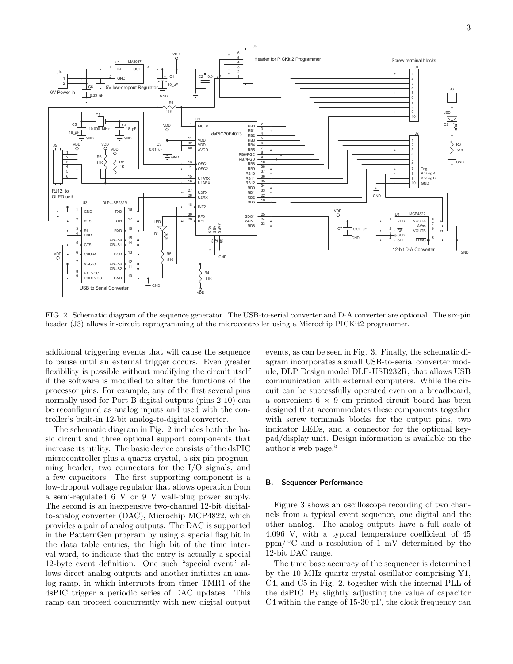

FIG. 2. Schematic diagram of the sequence generator. The USB-to-serial converter and D-A converter are optional. The six-pin header (J3) allows in-circuit reprogramming of the microcontroller using a Microchip PICKit2 programmer.

additional triggering events that will cause the sequence to pause until an external trigger occurs. Even greater flexibility is possible without modifying the circuit itself if the software is modified to alter the functions of the processor pins. For example, any of the first several pins normally used for Port B digital outputs (pins 2-10) can be reconfigured as analog inputs and used with the controller's built-in 12-bit analog-to-digital converter.

The schematic diagram in Fig. 2 includes both the basic circuit and three optional support components that increase its utility. The basic device consists of the dsPIC microcontroller plus a quartz crystal, a six-pin programming header, two connectors for the I/O signals, and a few capacitors. The first supporting component is a low-dropout voltage regulator that allows operation from a semi-regulated 6 V or 9 V wall-plug power supply. The second is an inexpensive two-channel 12-bit digitalto-analog converter (DAC), Microchip MCP4822, which provides a pair of analog outputs. The DAC is supported in the PatternGen program by using a special flag bit in the data table entries, the high bit of the time interval word, to indicate that the entry is actually a special 12-byte event definition. One such "special event" allows direct analog outputs and another initiates an analog ramp, in which interrupts from timer TMR1 of the dsPIC trigger a periodic series of DAC updates. This ramp can proceed concurrently with new digital output

events, as can be seen in Fig. 3. Finally, the schematic diagram incorporates a small USB-to-serial converter module, DLP Design model DLP-USB232R, that allows USB communication with external computers. While the circuit can be successfully operated even on a breadboard, a convenient 6 *×* 9 cm printed circuit board has been designed that accommodates these components together with screw terminals blocks for the output pins, two indicator LEDs, and a connector for the optional keypad/display unit. Design information is available on the author's web page.<sup>5</sup>

#### **B. Sequencer Performance**

Figure 3 shows an oscilloscope recording of two channels from a typical event sequence, one digital and the other analog. The analog outputs have a full scale of 4.096 V, with a typical temperature coefficient of 45 ppm/ $\degree$ C and a resolution of 1 mV determined by the 12-bit DAC range.

The time base accuracy of the sequencer is determined by the 10 MHz quartz crystal oscillator comprising Y1, C4, and C5 in Fig. 2, together with the internal PLL of the dsPIC. By slightly adjusting the value of capacitor C4 within the range of 15-30 pF, the clock frequency can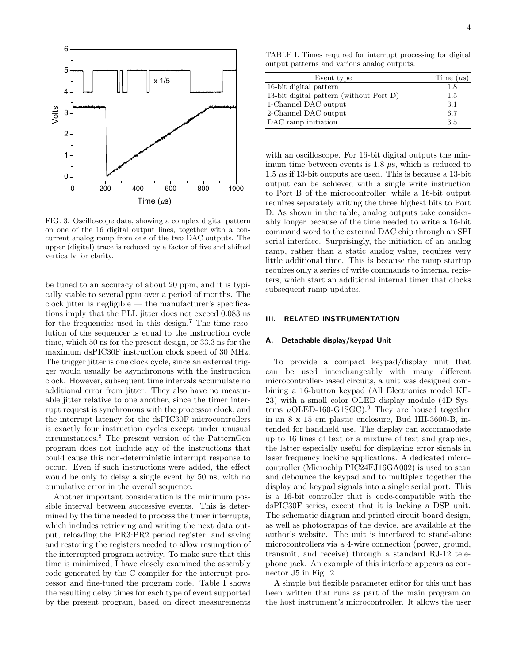

FIG. 3. Oscilloscope data, showing a complex digital pattern on one of the 16 digital output lines, together with a concurrent analog ramp from one of the two DAC outputs. The upper (digital) trace is reduced by a factor of five and shifted vertically for clarity.

be tuned to an accuracy of about 20 ppm, and it is typically stable to several ppm over a period of months. The clock jitter is negligible — the manufacturer's specifications imply that the PLL jitter does not exceed 0.083 ns for the frequencies used in this design.<sup>7</sup> The time resolution of the sequencer is equal to the instruction cycle time, which 50 ns for the present design, or 33.3 ns for the maximum dsPIC30F instruction clock speed of 30 MHz. The trigger jitter is one clock cycle, since an external trigger would usually be asynchronous with the instruction clock. However, subsequent time intervals accumulate no additional error from jitter. They also have no measurable jitter relative to one another, since the timer interrupt request is synchronous with the processor clock, and the interrupt latency for the dsPIC30F microcontrollers is exactly four instruction cycles except under unusual circumstances.<sup>8</sup> The present version of the PatternGen program does not include any of the instructions that could cause this non-deterministic interrupt response to occur. Even if such instructions were added, the effect would be only to delay a single event by 50 ns, with no cumulative error in the overall sequence.

Another important consideration is the minimum possible interval between successive events. This is determined by the time needed to process the timer interrupts, which includes retrieving and writing the next data output, reloading the PR3:PR2 period register, and saving and restoring the registers needed to allow resumption of the interrupted program activity. To make sure that this time is minimized, I have closely examined the assembly code generated by the C compiler for the interrupt processor and fine-tuned the program code. Table I shows the resulting delay times for each type of event supported by the present program, based on direct measurements

TABLE I. Times required for interrupt processing for digital output patterns and various analog outputs.

| Event type                              | Time $(\mu s)$ |
|-----------------------------------------|----------------|
| 16-bit digital pattern                  | 1.8            |
| 13-bit digital pattern (without Port D) | 1.5            |
| 1-Channel DAC output                    | 3.1            |
| 2-Channel DAC output                    | 6.7            |
| DAC ramp initiation                     | 3.5            |

with an oscilloscope. For 16-bit digital outputs the minimum time between events is 1.8 *µ*s, which is reduced to 1.5 *µ*s if 13-bit outputs are used. This is because a 13-bit output can be achieved with a single write instruction to Port B of the microcontroller, while a 16-bit output requires separately writing the three highest bits to Port D. As shown in the table, analog outputs take considerably longer because of the time needed to write a 16-bit command word to the external DAC chip through an SPI serial interface. Surprisingly, the initiation of an analog ramp, rather than a static analog value, requires very little additional time. This is because the ramp startup requires only a series of write commands to internal registers, which start an additional internal timer that clocks subsequent ramp updates.

## **III. RELATED INSTRUMENTATION**

#### **A. Detachable display/keypad Unit**

To provide a compact keypad/display unit that can be used interchangeably with many different microcontroller-based circuits, a unit was designed combining a 16-button keypad (All Electronics model KP-23) with a small color OLED display module (4D Systems *µ*OLED-160-G1SGC).<sup>9</sup> They are housed together in an 8 x 15 cm plastic enclosure, Bud HH-3600-B, intended for handheld use. The display can accommodate up to 16 lines of text or a mixture of text and graphics, the latter especially useful for displaying error signals in laser frequency locking applications. A dedicated microcontroller (Microchip PIC24FJ16GA002) is used to scan and debounce the keypad and to multiplex together the display and keypad signals into a single serial port. This is a 16-bit controller that is code-compatible with the dsPIC30F series, except that it is lacking a DSP unit. The schematic diagram and printed circuit board design, as well as photographs of the device, are available at the author's website. The unit is interfaced to stand-alone microcontrollers via a 4-wire connection (power, ground, transmit, and receive) through a standard RJ-12 telephone jack. An example of this interface appears as connector J5 in Fig. 2.

A simple but flexible parameter editor for this unit has been written that runs as part of the main program on the host instrument's microcontroller. It allows the user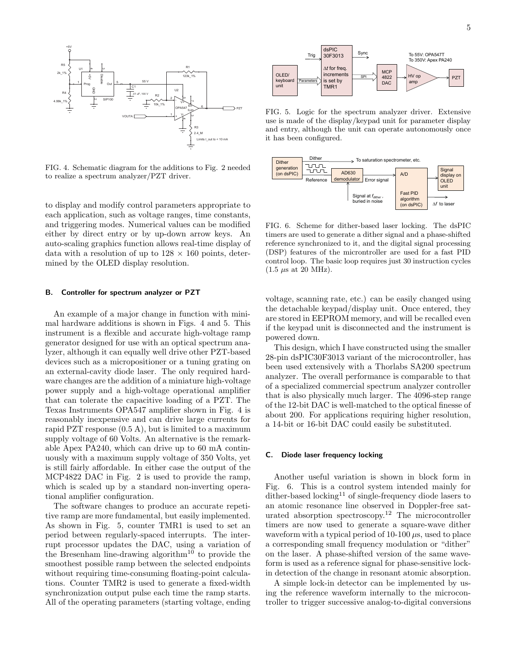

FIG. 4. Schematic diagram for the additions to Fig. 2 needed to realize a spectrum analyzer/PZT driver.

to display and modify control parameters appropriate to each application, such as voltage ranges, time constants, and triggering modes. Numerical values can be modified either by direct entry or by up-down arrow keys. An auto-scaling graphics function allows real-time display of data with a resolution of up to 128 *×* 160 points, determined by the OLED display resolution.

#### **B. Controller for spectrum analyzer or PZT**

An example of a major change in function with minimal hardware additions is shown in Figs. 4 and 5. This instrument is a flexible and accurate high-voltage ramp generator designed for use with an optical spectrum analyzer, although it can equally well drive other PZT-based devices such as a micropositioner or a tuning grating on an external-cavity diode laser. The only required hardware changes are the addition of a miniature high-voltage power supply and a high-voltage operational amplifier that can tolerate the capacitive loading of a PZT. The Texas Instruments OPA547 amplifier shown in Fig. 4 is reasonably inexpensive and can drive large currents for rapid PZT response (0.5 A), but is limited to a maximum supply voltage of 60 Volts. An alternative is the remarkable Apex PA240, which can drive up to 60 mA continuously with a maximum supply voltage of 350 Volts, yet is still fairly affordable. In either case the output of the MCP4822 DAC in Fig. 2 is used to provide the ramp, which is scaled up by a standard non-inverting operational amplifier configuration.

The software changes to produce an accurate repetitive ramp are more fundamental, but easily implemented. As shown in Fig. 5, counter TMR1 is used to set an period between regularly-spaced interrupts. The interrupt processor updates the DAC, using a variation of the Bresenham line-drawing algorithm<sup>10</sup> to provide the smoothest possible ramp between the selected endpoints without requiring time-consuming floating-point calculations. Counter TMR2 is used to generate a fixed-width synchronization output pulse each time the ramp starts. All of the operating parameters (starting voltage, ending



FIG. 5. Logic for the spectrum analyzer driver. Extensive use is made of the display/keypad unit for parameter display and entry, although the unit can operate autonomously once it has been configured.



FIG. 6. Scheme for dither-based laser locking. The dsPIC timers are used to generate a dither signal and a phase-shifted reference synchronized to it, and the digital signal processing (DSP) features of the microntroller are used for a fast PID control loop. The basic loop requires just 30 instruction cycles  $(1.5 \ \mu s \text{ at } 20 \text{ MHz}).$ 

voltage, scanning rate, etc.) can be easily changed using the detachable keypad/display unit. Once entered, they are stored in EEPROM memory, and will be recalled even if the keypad unit is disconnected and the instrument is powered down.

This design, which I have constructed using the smaller 28-pin dsPIC30F3013 variant of the microcontroller, has been used extensively with a Thorlabs SA200 spectrum analyzer. The overall performance is comparable to that of a specialized commercial spectrum analyzer controller that is also physically much larger. The 4096-step range of the 12-bit DAC is well-matched to the optical finesse of about 200. For applications requiring higher resolution, a 14-bit or 16-bit DAC could easily be substituted.

#### **C. Diode laser frequency locking**

Another useful variation is shown in block form in Fig. 6. This is a control system intended mainly for dither-based locking<sup>11</sup> of single-frequency diode lasers to an atomic resonance line observed in Doppler-free saturated absorption spectroscopy.<sup>12</sup> The microcontroller timers are now used to generate a square-wave dither waveform with a typical period of 10-100 *µ*s, used to place a corresponding small frequency modulation or "dither" on the laser. A phase-shifted version of the same waveform is used as a reference signal for phase-sensitive lockin detection of the change in resonant atomic absorption.

A simple lock-in detector can be implemented by using the reference waveform internally to the microcontroller to trigger successive analog-to-digital conversions